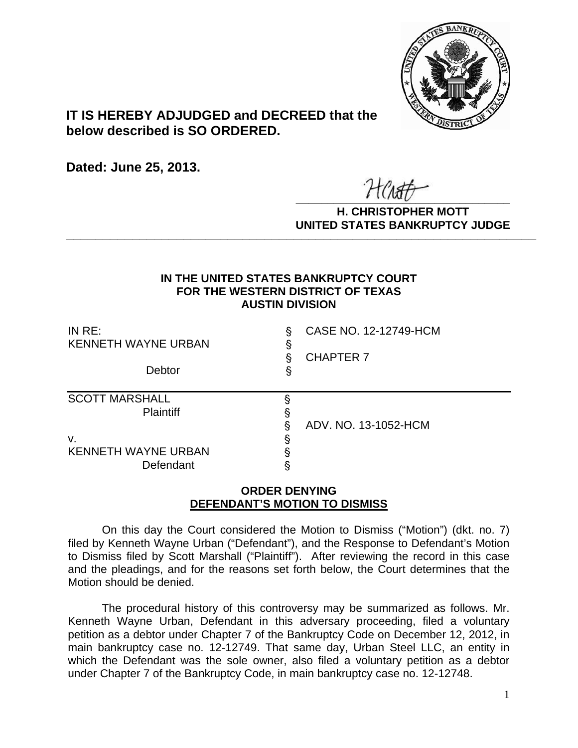

## **IT IS HEREBY ADJUDGED and DECREED that the below described is SO ORDERED.**

**Dated: June 25, 2013.**

 $\overline{r}$   $\overline{r}$   $\overline{r}$   $\overline{r}$   $\overline{r}$   $\overline{r}$   $\overline{r}$   $\overline{r}$   $\overline{r}$   $\overline{r}$   $\overline{r}$   $\overline{r}$   $\overline{r}$   $\overline{r}$   $\overline{r}$   $\overline{r}$   $\overline{r}$   $\overline{r}$   $\overline{r}$   $\overline{r}$   $\overline{r}$   $\overline{r}$   $\overline{r}$   $\overline{r}$   $\overline{$ 

**H. CHRISTOPHER MOTT UNITED STATES BANKRUPTCY JUDGE PATTED DRIVING TOT 00DCL** 

## **IN THE UNITED STATES BANKRUPTCY COURT FOR THE WESTERN DISTRICT OF TEXAS AUSTIN DIVISION**

| IN $RE:$<br><b>KENNETH WAYNE URBAN</b><br>Debtor | CASE NO. 12-12749-HCM<br>ş<br>ş |  |
|--------------------------------------------------|---------------------------------|--|
|                                                  | <b>CHAPTER 7</b><br>ş<br>S      |  |
| <b>SCOTT MARSHALL</b><br><b>Plaintiff</b>        | §<br>ADV, NO. 13-1052-HCM       |  |
| v.<br><b>KENNETH WAYNE URBAN</b><br>Defendant    | ş<br>ş                          |  |

## **ORDER DENYING DEFENDANT'S MOTION TO DISMISS**

On this day the Court considered the Motion to Dismiss ("Motion") (dkt. no. 7) filed by Kenneth Wayne Urban ("Defendant"), and the Response to Defendant's Motion to Dismiss filed by Scott Marshall ("Plaintiff"). After reviewing the record in this case and the pleadings, and for the reasons set forth below, the Court determines that the Motion should be denied.

The procedural history of this controversy may be summarized as follows. Mr. Kenneth Wayne Urban, Defendant in this adversary proceeding, filed a voluntary petition as a debtor under Chapter 7 of the Bankruptcy Code on December 12, 2012, in main bankruptcy case no. 12-12749. That same day, Urban Steel LLC, an entity in which the Defendant was the sole owner, also filed a voluntary petition as a debtor under Chapter 7 of the Bankruptcy Code, in main bankruptcy case no. 12-12748.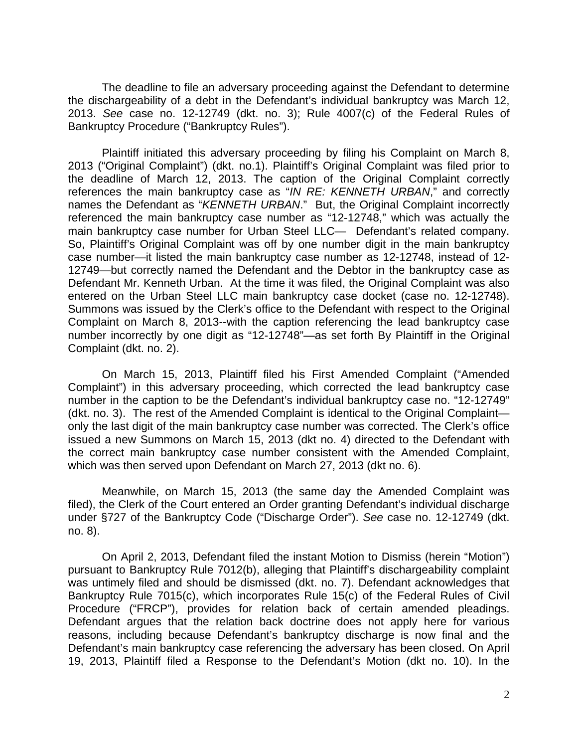The deadline to file an adversary proceeding against the Defendant to determine the dischargeability of a debt in the Defendant's individual bankruptcy was March 12, 2013. *See* case no. 12-12749 (dkt. no. 3); Rule 4007(c) of the Federal Rules of Bankruptcy Procedure ("Bankruptcy Rules").

Plaintiff initiated this adversary proceeding by filing his Complaint on March 8, 2013 ("Original Complaint") (dkt. no.1). Plaintiff's Original Complaint was filed prior to the deadline of March 12, 2013. The caption of the Original Complaint correctly references the main bankruptcy case as "*IN RE: KENNETH URBAN*," and correctly names the Defendant as "*KENNETH URBAN*." But, the Original Complaint incorrectly referenced the main bankruptcy case number as "12-12748," which was actually the main bankruptcy case number for Urban Steel LLC— Defendant's related company. So, Plaintiff's Original Complaint was off by one number digit in the main bankruptcy case number—it listed the main bankruptcy case number as 12-12748, instead of 12- 12749—but correctly named the Defendant and the Debtor in the bankruptcy case as Defendant Mr. Kenneth Urban. At the time it was filed, the Original Complaint was also entered on the Urban Steel LLC main bankruptcy case docket (case no. 12-12748). Summons was issued by the Clerk's office to the Defendant with respect to the Original Complaint on March 8, 2013--with the caption referencing the lead bankruptcy case number incorrectly by one digit as "12-12748"—as set forth By Plaintiff in the Original Complaint (dkt. no. 2).

On March 15, 2013, Plaintiff filed his First Amended Complaint ("Amended Complaint") in this adversary proceeding, which corrected the lead bankruptcy case number in the caption to be the Defendant's individual bankruptcy case no. "12-12749" (dkt. no. 3). The rest of the Amended Complaint is identical to the Original Complaint only the last digit of the main bankruptcy case number was corrected. The Clerk's office issued a new Summons on March 15, 2013 (dkt no. 4) directed to the Defendant with the correct main bankruptcy case number consistent with the Amended Complaint, which was then served upon Defendant on March 27, 2013 (dkt no. 6).

Meanwhile, on March 15, 2013 (the same day the Amended Complaint was filed), the Clerk of the Court entered an Order granting Defendant's individual discharge under §727 of the Bankruptcy Code ("Discharge Order"). *See* case no. 12-12749 (dkt. no. 8).

On April 2, 2013, Defendant filed the instant Motion to Dismiss (herein "Motion") pursuant to Bankruptcy Rule 7012(b), alleging that Plaintiff's dischargeability complaint was untimely filed and should be dismissed (dkt. no. 7). Defendant acknowledges that Bankruptcy Rule 7015(c), which incorporates Rule 15(c) of the Federal Rules of Civil Procedure ("FRCP"), provides for relation back of certain amended pleadings. Defendant argues that the relation back doctrine does not apply here for various reasons, including because Defendant's bankruptcy discharge is now final and the Defendant's main bankruptcy case referencing the adversary has been closed. On April 19, 2013, Plaintiff filed a Response to the Defendant's Motion (dkt no. 10). In the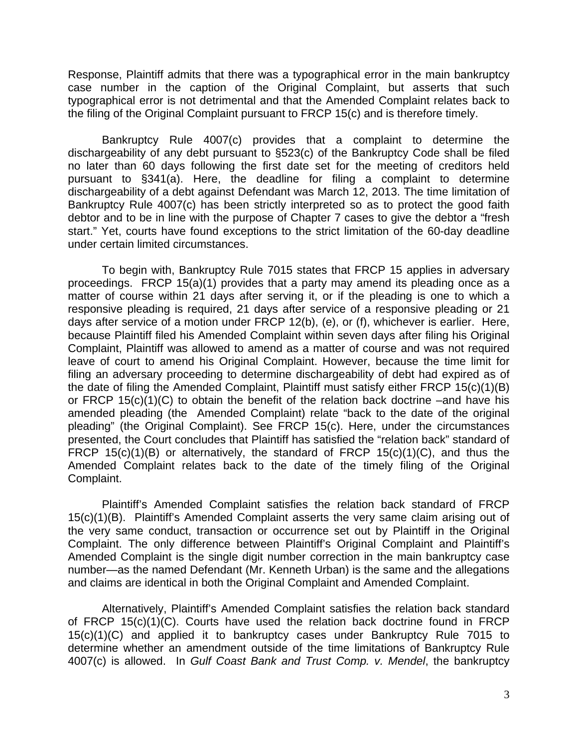Response, Plaintiff admits that there was a typographical error in the main bankruptcy case number in the caption of the Original Complaint, but asserts that such typographical error is not detrimental and that the Amended Complaint relates back to the filing of the Original Complaint pursuant to FRCP 15(c) and is therefore timely.

Bankruptcy Rule 4007(c) provides that a complaint to determine the dischargeability of any debt pursuant to §523(c) of the Bankruptcy Code shall be filed no later than 60 days following the first date set for the meeting of creditors held pursuant to §341(a). Here, the deadline for filing a complaint to determine dischargeability of a debt against Defendant was March 12, 2013. The time limitation of Bankruptcy Rule 4007(c) has been strictly interpreted so as to protect the good faith debtor and to be in line with the purpose of Chapter 7 cases to give the debtor a "fresh start." Yet, courts have found exceptions to the strict limitation of the 60-day deadline under certain limited circumstances.

To begin with, Bankruptcy Rule 7015 states that FRCP 15 applies in adversary proceedings. FRCP 15(a)(1) provides that a party may amend its pleading once as a matter of course within 21 days after serving it, or if the pleading is one to which a responsive pleading is required, 21 days after service of a responsive pleading or 21 days after service of a motion under FRCP 12(b), (e), or (f), whichever is earlier. Here, because Plaintiff filed his Amended Complaint within seven days after filing his Original Complaint, Plaintiff was allowed to amend as a matter of course and was not required leave of court to amend his Original Complaint. However, because the time limit for filing an adversary proceeding to determine dischargeability of debt had expired as of the date of filing the Amended Complaint, Plaintiff must satisfy either FRCP 15(c)(1)(B) or FRCP 15(c)(1)(C) to obtain the benefit of the relation back doctrine –and have his amended pleading (the Amended Complaint) relate "back to the date of the original pleading" (the Original Complaint). See FRCP 15(c). Here, under the circumstances presented, the Court concludes that Plaintiff has satisfied the "relation back" standard of FRCP 15(c)(1)(B) or alternatively, the standard of FRCP 15(c)(1)(C), and thus the Amended Complaint relates back to the date of the timely filing of the Original Complaint.

Plaintiff's Amended Complaint satisfies the relation back standard of FRCP 15(c)(1)(B). Plaintiff's Amended Complaint asserts the very same claim arising out of the very same conduct, transaction or occurrence set out by Plaintiff in the Original Complaint. The only difference between Plaintiff's Original Complaint and Plaintiff's Amended Complaint is the single digit number correction in the main bankruptcy case number—as the named Defendant (Mr. Kenneth Urban) is the same and the allegations and claims are identical in both the Original Complaint and Amended Complaint.

Alternatively, Plaintiff's Amended Complaint satisfies the relation back standard of FRCP 15(c)(1)(C). Courts have used the relation back doctrine found in FRCP 15(c)(1)(C) and applied it to bankruptcy cases under Bankruptcy Rule 7015 to determine whether an amendment outside of the time limitations of Bankruptcy Rule 4007(c) is allowed. In *Gulf Coast Bank and Trust Comp. v. Mendel*, the bankruptcy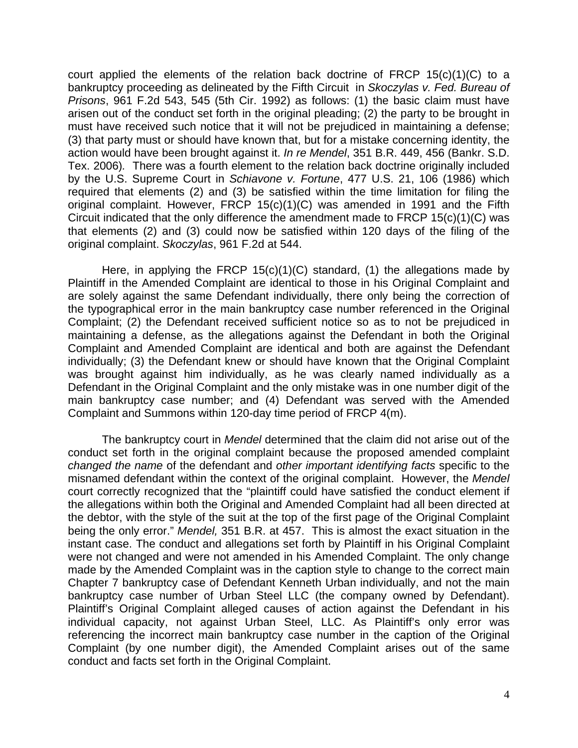court applied the elements of the relation back doctrine of FRCP 15(c)(1)(C) to a bankruptcy proceeding as delineated by the Fifth Circuit in *Skoczylas v. Fed. Bureau of Prisons*, 961 F.2d 543, 545 (5th Cir. 1992) as follows: (1) the basic claim must have arisen out of the conduct set forth in the original pleading; (2) the party to be brought in must have received such notice that it will not be prejudiced in maintaining a defense; (3) that party must or should have known that, but for a mistake concerning identity, the action would have been brought against it. *In re Mendel*, 351 B.R. 449, 456 (Bankr. S.D. Tex. 2006)*.* There was a fourth element to the relation back doctrine originally included by the U.S. Supreme Court in *Schiavone v. Fortune*, 477 U.S. 21, 106 (1986) which required that elements (2) and (3) be satisfied within the time limitation for filing the original complaint. However, FRCP 15(c)(1)(C) was amended in 1991 and the Fifth Circuit indicated that the only difference the amendment made to FRCP 15(c)(1)(C) was that elements (2) and (3) could now be satisfied within 120 days of the filing of the original complaint. *Skoczylas*, 961 F.2d at 544.

Here, in applying the FRCP 15(c)(1)(C) standard, (1) the allegations made by Plaintiff in the Amended Complaint are identical to those in his Original Complaint and are solely against the same Defendant individually, there only being the correction of the typographical error in the main bankruptcy case number referenced in the Original Complaint; (2) the Defendant received sufficient notice so as to not be prejudiced in maintaining a defense, as the allegations against the Defendant in both the Original Complaint and Amended Complaint are identical and both are against the Defendant individually; (3) the Defendant knew or should have known that the Original Complaint was brought against him individually, as he was clearly named individually as a Defendant in the Original Complaint and the only mistake was in one number digit of the main bankruptcy case number; and (4) Defendant was served with the Amended Complaint and Summons within 120-day time period of FRCP 4(m).

The bankruptcy court in *Mendel* determined that the claim did not arise out of the conduct set forth in the original complaint because the proposed amended complaint *changed the name* of the defendant and *other important identifying facts* specific to the misnamed defendant within the context of the original complaint. However, the *Mendel* court correctly recognized that the "plaintiff could have satisfied the conduct element if the allegations within both the Original and Amended Complaint had all been directed at the debtor, with the style of the suit at the top of the first page of the Original Complaint being the only error." *Mendel,* 351 B.R. at 457. This is almost the exact situation in the instant case. The conduct and allegations set forth by Plaintiff in his Original Complaint were not changed and were not amended in his Amended Complaint. The only change made by the Amended Complaint was in the caption style to change to the correct main Chapter 7 bankruptcy case of Defendant Kenneth Urban individually, and not the main bankruptcy case number of Urban Steel LLC (the company owned by Defendant). Plaintiff's Original Complaint alleged causes of action against the Defendant in his individual capacity, not against Urban Steel, LLC. As Plaintiff's only error was referencing the incorrect main bankruptcy case number in the caption of the Original Complaint (by one number digit), the Amended Complaint arises out of the same conduct and facts set forth in the Original Complaint.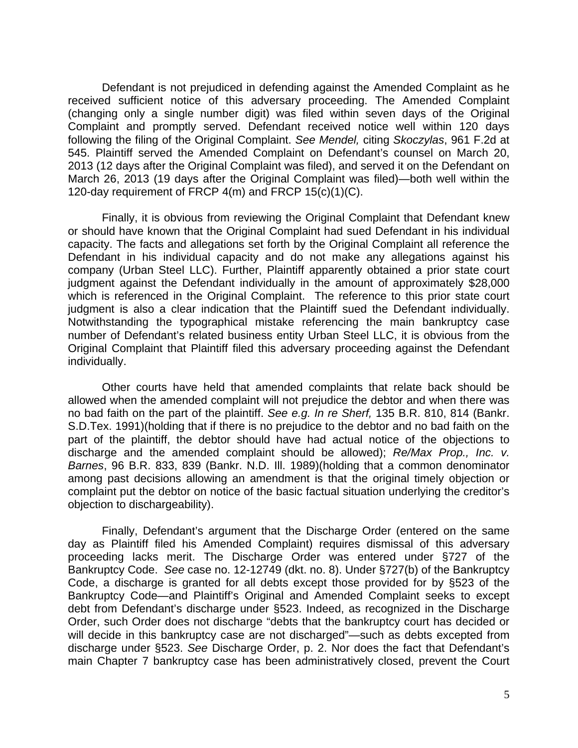Defendant is not prejudiced in defending against the Amended Complaint as he received sufficient notice of this adversary proceeding. The Amended Complaint (changing only a single number digit) was filed within seven days of the Original Complaint and promptly served. Defendant received notice well within 120 days following the filing of the Original Complaint. *See Mendel,* citing *Skoczylas*, 961 F.2d at 545. Plaintiff served the Amended Complaint on Defendant's counsel on March 20, 2013 (12 days after the Original Complaint was filed), and served it on the Defendant on March 26, 2013 (19 days after the Original Complaint was filed)—both well within the 120-day requirement of FRCP 4(m) and FRCP 15(c)(1)(C).

Finally, it is obvious from reviewing the Original Complaint that Defendant knew or should have known that the Original Complaint had sued Defendant in his individual capacity. The facts and allegations set forth by the Original Complaint all reference the Defendant in his individual capacity and do not make any allegations against his company (Urban Steel LLC). Further, Plaintiff apparently obtained a prior state court judgment against the Defendant individually in the amount of approximately \$28,000 which is referenced in the Original Complaint. The reference to this prior state court judgment is also a clear indication that the Plaintiff sued the Defendant individually. Notwithstanding the typographical mistake referencing the main bankruptcy case number of Defendant's related business entity Urban Steel LLC, it is obvious from the Original Complaint that Plaintiff filed this adversary proceeding against the Defendant individually.

 Other courts have held that amended complaints that relate back should be allowed when the amended complaint will not prejudice the debtor and when there was no bad faith on the part of the plaintiff. *See e.g. In re Sherf,* 135 B.R. 810, 814 (Bankr. S.D.Tex. 1991)(holding that if there is no prejudice to the debtor and no bad faith on the part of the plaintiff, the debtor should have had actual notice of the objections to discharge and the amended complaint should be allowed); *Re/Max Prop., Inc. v. Barnes*, 96 B.R. 833, 839 (Bankr. N.D. Ill. 1989)(holding that a common denominator among past decisions allowing an amendment is that the original timely objection or complaint put the debtor on notice of the basic factual situation underlying the creditor's objection to dischargeability).

Finally, Defendant's argument that the Discharge Order (entered on the same day as Plaintiff filed his Amended Complaint) requires dismissal of this adversary proceeding lacks merit. The Discharge Order was entered under §727 of the Bankruptcy Code. *See* case no. 12-12749 (dkt. no. 8). Under §727(b) of the Bankruptcy Code, a discharge is granted for all debts except those provided for by §523 of the Bankruptcy Code—and Plaintiff's Original and Amended Complaint seeks to except debt from Defendant's discharge under §523. Indeed, as recognized in the Discharge Order, such Order does not discharge "debts that the bankruptcy court has decided or will decide in this bankruptcy case are not discharged"—such as debts excepted from discharge under §523. *See* Discharge Order, p. 2. Nor does the fact that Defendant's main Chapter 7 bankruptcy case has been administratively closed, prevent the Court